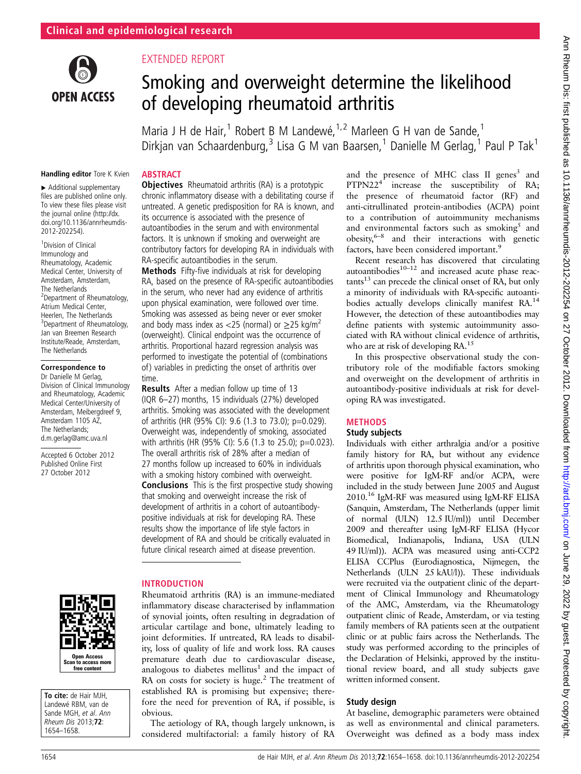

## EXTENDED REPORT

# Smoking and overweight determine the likelihood of developing rheumatoid arthritis

Maria J H de Hair,<sup>1</sup> Robert B M Landewé,  $1/2$  Marleen G H van de Sande,<sup>1</sup> Dirkjan van Schaardenburg,<sup>3</sup> Lisa G M van Baarsen,<sup>1</sup> Danielle M Gerlag,<sup>1</sup> Paul P Tak<sup>1</sup>

#### Handling editor Tore K Kvien

▸ Additional supplementary files are published online only. To view these files please visit the journal online ([http://dx.](http://dx.doi.org/10.1136/annrheumdis-2012-202254) [doi.org/10.1136/annrheumdis-](http://dx.doi.org/10.1136/annrheumdis-2012-202254)[2012-202254\)](http://dx.doi.org/10.1136/annrheumdis-2012-202254).

1 Division of Clinical Immunology and Rheumatology, Academic Medical Center, University of Amsterdam, Amsterdam, The Netherlands <sup>2</sup> Department of Rheumatology, Atrium Medical Center, Heerlen, The Netherlands <sup>3</sup> Department of Rheumatology, Jan van Breemen Research Institute/Reade, Amsterdam, The Netherlands

#### Correspondence to

Dr Danielle M Gerlag, Division of Clinical Immunology and Rheumatology, Academic Medical Center/University of Amsterdam, Meibergdreef 9, Amsterdam 1105 AZ, The Netherlands; d.m.gerlag@amc.uva.nl

Accepted 6 October 2012 Published Online First 27 October 2012



To cite: de Hair MJH, Landewé RBM, van de Sande MGH, et al. Ann Rheum Dis 2013;72: 1654–1658.

### **ABSTRACT**

**Objectives** Rheumatoid arthritis (RA) is a prototypic chronic inflammatory disease with a debilitating course if untreated. A genetic predisposition for RA is known, and its occurrence is associated with the presence of autoantibodies in the serum and with environmental factors. It is unknown if smoking and overweight are contributory factors for developing RA in individuals with RA-specific autoantibodies in the serum.

Methods Fifty-five individuals at risk for developing RA, based on the presence of RA-specific autoantibodies in the serum, who never had any evidence of arthritis upon physical examination, were followed over time. Smoking was assessed as being never or ever smoker and body mass index as <25 (normal) or  $\geq$ 25 kg/m<sup>2</sup> (overweight). Clinical endpoint was the occurrence of arthritis. Proportional hazard regression analysis was performed to investigate the potential of (combinations of) variables in predicting the onset of arthritis over time.

Results After a median follow up time of 13 (IQR 6–27) months, 15 individuals (27%) developed arthritis. Smoking was associated with the development of arthritis (HR (95% CI): 9.6 (1.3 to 73.0); p=0.029). Overweight was, independently of smoking, associated with arthritis (HR (95% CI): 5.6 (1.3 to 25.0); p=0.023). The overall arthritis risk of 28% after a median of 27 months follow up increased to 60% in individuals with a smoking history combined with overweight. **Conclusions** This is the first prospective study showing that smoking and overweight increase the risk of development of arthritis in a cohort of autoantibodypositive individuals at risk for developing RA. These results show the importance of life style factors in development of RA and should be critically evaluated in future clinical research aimed at disease prevention.

#### INTRODUCTION

Rheumatoid arthritis (RA) is an immune-mediated inflammatory disease characterised by inflammation of synovial joints, often resulting in degradation of articular cartilage and bone, ultimately leading to joint deformities. If untreated, RA leads to disability, loss of quality of life and work loss. RA causes premature death due to cardiovascular disease, analogous to diabetes mellitus $1$  and the impact of RA on costs for society is huge. $^{2}$  The treatment of established RA is promising but expensive; therefore the need for prevention of RA, if possible, is obvious.

The aetiology of RA, though largely unknown, is considered multifactorial: a family history of RA

and the presence of MHC class II genes<sup>3</sup> and  $PTPN22<sup>4</sup>$  increase the susceptibility of RA; the presence of rheumatoid factor (RF) and anti-citrullinated protein-antibodies (ACPA) point to a contribution of autoimmunity mechanisms and environmental factors such as smoking<sup>5</sup> and obesity,  $6-8$  and their interactions with genetic factors, have been considered important.<sup>9</sup>

Recent research has discovered that circulating autoantibodies $10^{-12}$  and increased acute phase reac $tants^{13}$  can precede the clinical onset of  $\overrightarrow{RA}$ , but only a minority of individuals with RA-specific autoantibodies actually develops clinically manifest RA.<sup>14</sup> However, the detection of these autoantibodies may define patients with systemic autoimmunity associated with RA without clinical evidence of arthritis, who are at risk of developing RA.<sup>15</sup>

In this prospective observational study the contributory role of the modifiable factors smoking and overweight on the development of arthritis in autoantibody-positive individuals at risk for developing RA was investigated.

#### **METHODS**

#### Study subjects

Individuals with either arthralgia and/or a positive family history for RA, but without any evidence of arthritis upon thorough physical examination, who were positive for IgM-RF and/or ACPA, were included in the study between June 2005 and August 2010.16 IgM-RF was measured using IgM-RF ELISA (Sanquin, Amsterdam, The Netherlands (upper limit of normal (ULN) 12.5 IU/ml)) until December 2009 and thereafter using IgM-RF ELISA (Hycor Biomedical, Indianapolis, Indiana, USA (ULN 49 IU/ml)). ACPA was measured using anti-CCP2 ELISA CCPlus (Eurodiagnostica, Nijmegen, the Netherlands (ULN 25 kAU/l)). These individuals were recruited via the outpatient clinic of the department of Clinical Immunology and Rheumatology of the AMC, Amsterdam, via the Rheumatology outpatient clinic of Reade, Amsterdam, or via testing family members of RA patients seen at the outpatient clinic or at public fairs across the Netherlands. The study was performed according to the principles of the Declaration of Helsinki, approved by the institutional review board, and all study subjects gave written informed consent.

#### Study design

At baseline, demographic parameters were obtained as well as environmental and clinical parameters. Overweight was defined as a body mass index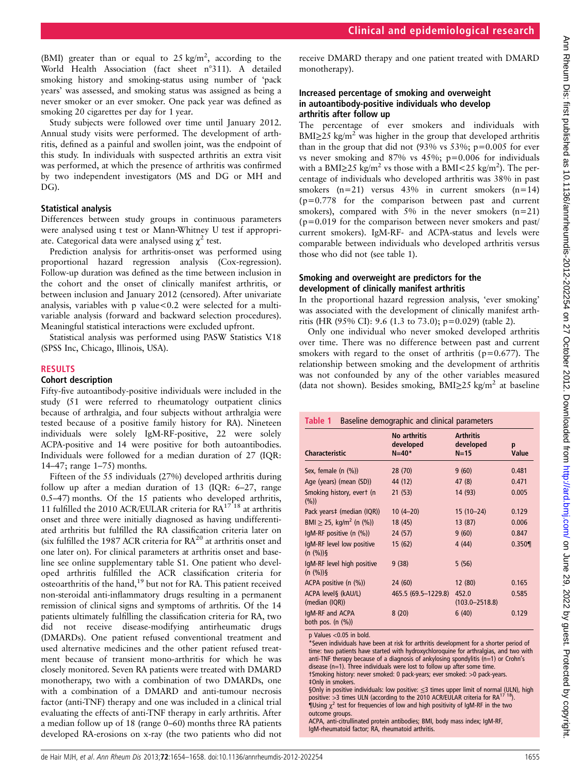(BMI) greater than or equal to  $25 \text{ kg/m}^2$ , according to the World Health Association (fact sheet n°311). A detailed smoking history and smoking-status using number of 'pack years' was assessed, and smoking status was assigned as being a never smoker or an ever smoker. One pack year was defined as smoking 20 cigarettes per day for 1 year.

Study subjects were followed over time until January 2012. Annual study visits were performed. The development of arthritis, defined as a painful and swollen joint, was the endpoint of this study. In individuals with suspected arthritis an extra visit was performed, at which the presence of arthritis was confirmed by two independent investigators (MS and DG or MH and DG).

#### Statistical analysis

Differences between study groups in continuous parameters were analysed using t test or Mann-Whitney U test if appropriate. Categorical data were analysed using  $\chi^2$  test.

Prediction analysis for arthritis-onset was performed using proportional hazard regression analysis (Cox-regression). Follow-up duration was defined as the time between inclusion in the cohort and the onset of clinically manifest arthritis, or between inclusion and January 2012 (censored). After univariate analysis, variables with p value<0.2 were selected for a multivariable analysis (forward and backward selection procedures). Meaningful statistical interactions were excluded upfront.

Statistical analysis was performed using PASW Statistics V.18 (SPSS Inc, Chicago, Illinois, USA).

#### RESULTS

#### Cohort description

Fifty-five autoantibody-positive individuals were included in the study (51 were referred to rheumatology outpatient clinics because of arthralgia, and four subjects without arthralgia were tested because of a positive family history for RA). Nineteen individuals were solely IgM-RF-positive, 22 were solely ACPA-positive and 14 were positive for both autoantibodies. Individuals were followed for a median duration of 27 (IQR: 14–47; range 1–75) months.

Fifteen of the 55 individuals (27%) developed arthritis during follow up after a median duration of 13 (IQR: 6–27, range 0.5–47) months. Of the 15 patients who developed arthritis, 11 fulfilled the 2010 ACR/EULAR criteria for  $RA^{17}$  <sup>18</sup> at arthritis onset and three were initially diagnosed as having undifferentiated arthritis but fulfilled the RA classification criteria later on (six fulfilled the 1987 ACR criteria for RA<sup>20</sup> at arthritis onset and one later on). For clinical parameters at arthritis onset and baseline see online supplementary table S1. One patient who developed arthritis fulfilled the ACR classification criteria for osteoarthritis of the hand,<sup>19</sup> but not for RA. This patient received non-steroidal anti-inflammatory drugs resulting in a permanent remission of clinical signs and symptoms of arthritis. Of the 14 patients ultimately fulfilling the classification criteria for RA, two did not receive disease-modifying antirheumatic drugs (DMARDs). One patient refused conventional treatment and used alternative medicines and the other patient refused treatment because of transient mono-arthritis for which he was closely monitored. Seven RA patients were treated with DMARD monotherapy, two with a combination of two DMARDs, one with a combination of a DMARD and anti-tumour necrosis factor (anti-TNF) therapy and one was included in a clinical trial evaluating the effects of anti-TNF therapy in early arthritis. After a median follow up of 18 (range 0–60) months three RA patients developed RA-erosions on x-ray (the two patients who did not

receive DMARD therapy and one patient treated with DMARD monotherapy).

#### Increased percentage of smoking and overweight in autoantibody-positive individuals who develop arthritis after follow up

The percentage of ever smokers and individuals with  $BMI \geq 25$  kg/m<sup>2</sup> was higher in the group that developed arthritis than in the group that did not  $(93\% \text{ vs } 53\%; \text{ p}=0.005 \text{ for ever})$ vs never smoking and  $87\%$  vs  $45\%$ ;  $p=0.006$  for individuals with a BMI $\geq$ 25 kg/m<sup>2</sup> vs those with a BMI<25 kg/m<sup>2</sup>). The percentage of individuals who developed arthritis was 38% in past smokers  $(n=21)$  versus 43% in current smokers  $(n=14)$ (p=0.778 for the comparison between past and current smokers), compared with  $5\%$  in the never smokers (n=21)  $(p=0.019)$  for the comparison between never smokers and past/ current smokers). IgM-RF- and ACPA-status and levels were comparable between individuals who developed arthritis versus those who did not (see table 1).

#### Smoking and overweight are predictors for the development of clinically manifest arthritis

In the proportional hazard regression analysis, 'ever smoking' was associated with the development of clinically manifest arthritis (HR (95% CI): 9.6 (1.3 to 73.0); p=0.029) (table 2).

Only one individual who never smoked developed arthritis over time. There was no difference between past and current smokers with regard to the onset of arthritis ( $p=0.677$ ). The relationship between smoking and the development of arthritis was not confounded by any of the other variables measured (data not shown). Besides smoking, BMI $\geq$ 25 kg/m<sup>2</sup> at baseline

#### Table 1 Baseline demographic and clinical parameters

| <b>Characteristic</b>                     | <b>No arthritis</b><br>developed<br>$N = 40*$ | <b>Arthritis</b><br>developed<br>$N=15$ | p<br>Value |  |
|-------------------------------------------|-----------------------------------------------|-----------------------------------------|------------|--|
| Sex, female $(n \ (\%)$                   | 28(70)                                        | 9(60)                                   | 0.481      |  |
| Age (years) (mean (SD))                   | 44 (12)                                       | 47 (8)                                  | 0.471      |  |
| Smoking history, evert (n<br>(%)          | 21(53)                                        | 14 (93)                                 | 0.005      |  |
| Pack years# (median (IQR))                | $10(4-20)$                                    | $15(10-24)$                             | 0.129      |  |
| BMI $\geq$ 25, kg/m <sup>2</sup> (n (%))  | 18 (45)                                       | 13 (87)                                 | 0.006      |  |
| IgM-RF positive $(n \ (\%))$              | 24(57)                                        | 9(60)                                   | 0.847      |  |
| IgM-RF level low positive<br>(n (%))      | 15(62)                                        | 4(44)                                   | 0.350      |  |
| IgM-RF level high positive<br>(n (%))     | 9(38)                                         | 5(56)                                   |            |  |
| ACPA positive (n (%))                     | 24 (60)                                       | 12 (80)                                 | 0.165      |  |
| ACPA level§ (kAU/L)<br>(median (IQR))     | 465.5 (69.5-1229.8)                           | 452.0<br>$(103.0 - 2518.8)$             | 0.585      |  |
| IqM-RF and ACPA<br>both pos. $(n \ (\%))$ | 8(20)                                         | 6(40)                                   | 0.129      |  |

p Values <0.05 in bold. \*Seven individuals have been at risk for arthritis development for a shorter period of time: two patients have started with hydroxychloroquine for arthralgias, and two with anti-TNF therapy because of a diagnosis of ankylosing spondylitis (n=1) or Crohn's disease (n=1). Three individuals were lost to follow up after some time. †Smoking history: never smoked: 0 pack-years; ever smoked: >0 pack-years. ‡Only in smokers.

§Only in positive individuals: low positive:  $\leq$ 3 times upper limit of normal (ULN), high positive: >3 times ULN (according to the 2010 ACR/EULAR criteria for RA<sup>17 18</sup>). positive:  $>3$  times ULN (according to the 2010 ACR/EULAR criteria for  $RA^{17}$  $\P$ Using  $\chi^2$  test for frequencies of low and high positivity of IgM-RF in the two outcome groups.

ACPA, anti-citrullinated protein antibodies; BMI, body mass index; IgM-RF, IgM-rheumatoid factor; RA, rheumatoid arthritis.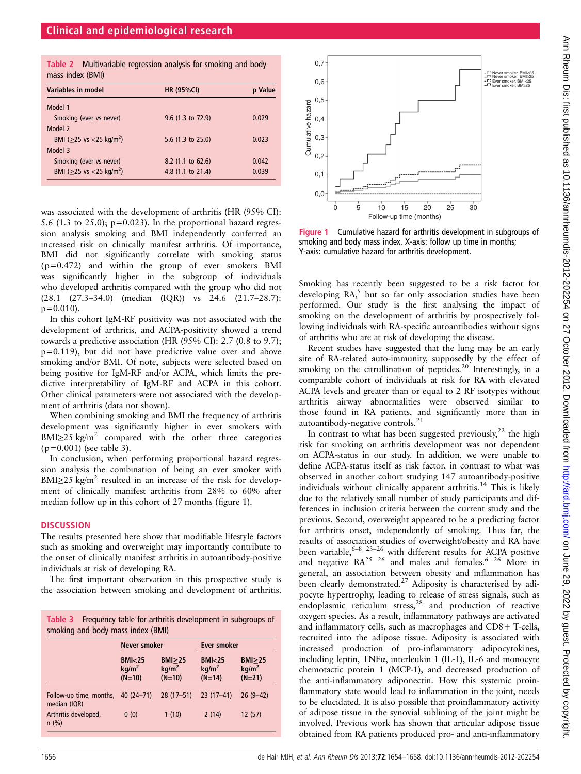|                  | Table 2 Multivariable regression analysis for smoking and body |  |  |  |
|------------------|----------------------------------------------------------------|--|--|--|
| mass index (BMI) |                                                                |  |  |  |

| <b>THUSS THACK (DITII)</b>                 |                   |         |  |
|--------------------------------------------|-------------------|---------|--|
| Variables in model                         | <b>HR (95%CI)</b> | p Value |  |
| Model 1                                    |                   |         |  |
| Smoking (ever vs never)                    | 9.6 (1.3 to 72.9) | 0.029   |  |
| Model 2                                    |                   |         |  |
| BMI ( $\geq$ 25 vs <25 kg/m <sup>2</sup> ) | 5.6 (1.3 to 25.0) | 0.023   |  |
| Model 3                                    |                   |         |  |
| Smoking (ever vs never)                    | 8.2 (1.1 to 62.6) | 0.042   |  |
| BMI ( $\geq$ 25 vs <25 kg/m <sup>2</sup> ) | 4.8 (1.1 to 21.4) | 0.039   |  |
|                                            |                   |         |  |

was associated with the development of arthritis (HR (95% CI): 5.6 (1.3 to 25.0);  $p=0.023$ ). In the proportional hazard regression analysis smoking and BMI independently conferred an increased risk on clinically manifest arthritis. Of importance, BMI did not significantly correlate with smoking status  $(p=0.472)$  and within the group of ever smokers BMI was significantly higher in the subgroup of individuals who developed arthritis compared with the group who did not (28.1 (27.3–34.0) (median (IQR)) vs 24.6 (21.7–28.7):  $p=0.010$ ).

In this cohort IgM-RF positivity was not associated with the development of arthritis, and ACPA-positivity showed a trend towards a predictive association (HR (95% CI): 2.7 (0.8 to 9.7); p=0.119), but did not have predictive value over and above smoking and/or BMI. Of note, subjects were selected based on being positive for IgM-RF and/or ACPA, which limits the predictive interpretability of IgM-RF and ACPA in this cohort. Other clinical parameters were not associated with the development of arthritis (data not shown).

When combining smoking and BMI the frequency of arthritis development was significantly higher in ever smokers with BMI $\geq$ 25 kg/m<sup>2</sup> compared with the other three categories  $(p=0.001)$  (see table 3).

In conclusion, when performing proportional hazard regression analysis the combination of being an ever smoker with  $BMI \geq 25$  kg/m<sup>2</sup> resulted in an increase of the risk for development of clinically manifest arthritis from 28% to 60% after median follow up in this cohort of 27 months (figure 1).

#### **DISCUSSION**

The results presented here show that modifiable lifestyle factors such as smoking and overweight may importantly contribute to the onset of clinically manifest arthritis in autoantibody-positive individuals at risk of developing RA.

The first important observation in this prospective study is the association between smoking and development of arthritis.

| Table 3 Frequency table for arthritis development in subgroups of |
|-------------------------------------------------------------------|
| smoking and body mass index (BMI)                                 |

|                                         | Never smoker                                       |                                                | Ever smoker                                        |                                                |  |
|-----------------------------------------|----------------------------------------------------|------------------------------------------------|----------------------------------------------------|------------------------------------------------|--|
|                                         | BMI <sub>25</sub><br>kg/m <sup>2</sup><br>$(N=10)$ | $BMI \geq 25$<br>kg/m <sup>2</sup><br>$(N=10)$ | BMI <sub>25</sub><br>kg/m <sup>2</sup><br>$(N=14)$ | $BMI \geq 25$<br>kg/m <sup>2</sup><br>$(N=21)$ |  |
| Follow-up time, months,<br>median (IQR) | $40(24 - 71)$                                      | $28(17-51)$                                    | $23(17-41)$                                        | $26(9-42)$                                     |  |
| Arthritis developed,<br>$n$ (%)         | 0(0)                                               | 1(10)                                          | 2(14)                                              | 12(57)                                         |  |



Figure 1 Cumulative hazard for arthritis development in subgroups of smoking and body mass index. X-axis: follow up time in months; Y-axis: cumulative hazard for arthritis development.

Smoking has recently been suggested to be a risk factor for developing  $RA$ <sup>5</sup>, but so far only association studies have been performed. Our study is the first analysing the impact of smoking on the development of arthritis by prospectively following individuals with RA-specific autoantibodies without signs of arthritis who are at risk of developing the disease.

Recent studies have suggested that the lung may be an early site of RA-related auto-immunity, supposedly by the effect of smoking on the citrullination of peptides. $20$  Interestingly, in a comparable cohort of individuals at risk for RA with elevated ACPA levels and greater than or equal to 2 RF isotypes without arthritis airway abnormalities were observed similar to those found in RA patients, and significantly more than in autoantibody-negative controls.<sup>21</sup>

In contrast to what has been suggested previously,<sup>22</sup> the high risk for smoking on arthritis development was not dependent on ACPA-status in our study. In addition, we were unable to define ACPA-status itself as risk factor, in contrast to what was observed in another cohort studying 147 autoantibody-positive individuals without clinically apparent arthritis.<sup>14</sup> This is likely due to the relatively small number of study participants and differences in inclusion criteria between the current study and the previous. Second, overweight appeared to be a predicting factor for arthritis onset, independently of smoking. Thus far, the results of association studies of overweight/obesity and RA have been variable,<sup>6–8 23–26</sup> with different results for ACPA positive and negative  $\mathbb{R}A^{25}$  <sup>26</sup> and males and females.<sup>6</sup> <sup>26</sup> More in general, an association between obesity and inflammation has been clearly demonstrated.<sup>27</sup> Adiposity is characterised by adipocyte hypertrophy, leading to release of stress signals, such as endoplasmic reticulum stress, $28$  and production of reactive oxygen species. As a result, inflammatory pathways are activated and inflammatory cells, such as macrophages and CD8+ T-cells, recruited into the adipose tissue. Adiposity is associated with increased production of pro-inflammatory adipocytokines, including leptin, TNFα, interleukin 1 (IL-1), IL-6 and monocyte chemotactic protein 1 (MCP-1), and decreased production of the anti-inflammatory adiponectin. How this systemic proinflammatory state would lead to inflammation in the joint, needs to be elucidated. It is also possible that proinflammatory activity of adipose tissue in the synovial sublining of the joint might be involved. Previous work has shown that articular adipose tissue obtained from RA patients produced pro- and anti-inflammatory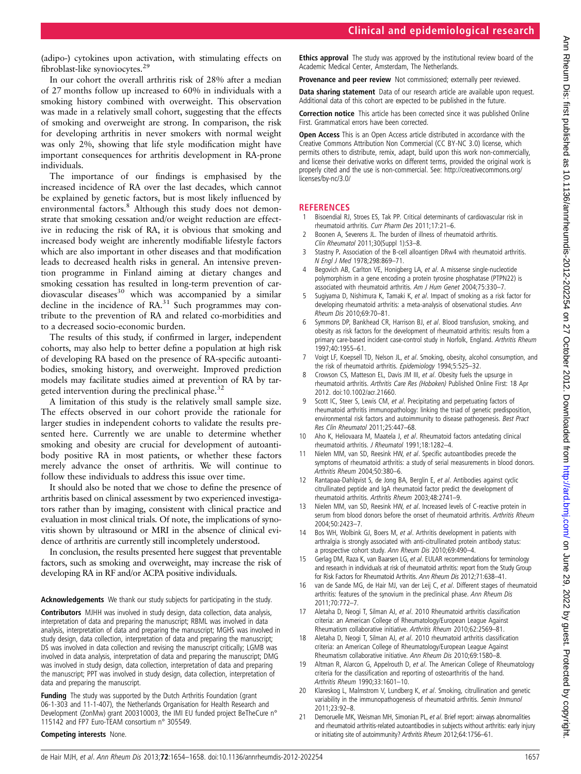(adipo-) cytokines upon activation, with stimulating effects on fibroblast-like synoviocytes.<sup>29</sup>

In our cohort the overall arthritis risk of 28% after a median of 27 months follow up increased to 60% in individuals with a smoking history combined with overweight. This observation was made in a relatively small cohort, suggesting that the effects of smoking and overweight are strong. In comparison, the risk for developing arthritis in never smokers with normal weight was only 2%, showing that life style modification might have important consequences for arthritis development in RA-prone individuals.

The importance of our findings is emphasised by the increased incidence of RA over the last decades, which cannot be explained by genetic factors, but is most likely influenced by environmental factors.<sup>8</sup> Although this study does not demonstrate that smoking cessation and/or weight reduction are effective in reducing the risk of RA, it is obvious that smoking and increased body weight are inherently modifiable lifestyle factors which are also important in other diseases and that modification leads to decreased health risks in general. An intensive prevention programme in Finland aiming at dietary changes and smoking cessation has resulted in long-term prevention of cardiovascular diseases<sup>30</sup> which was accompanied by a similar decline in the incidence of  $RA.^{31}$  Such programmes may contribute to the prevention of RA and related co-morbidities and to a decreased socio-economic burden.

The results of this study, if confirmed in larger, independent cohorts, may also help to better define a population at high risk of developing RA based on the presence of RA-specific autoantibodies, smoking history, and overweight. Improved prediction models may facilitate studies aimed at prevention of RA by targeted intervention during the preclinical phase.<sup>32</sup>

A limitation of this study is the relatively small sample size. The effects observed in our cohort provide the rationale for larger studies in independent cohorts to validate the results presented here. Currently we are unable to determine whether smoking and obesity are crucial for development of autoantibody positive RA in most patients, or whether these factors merely advance the onset of arthritis. We will continue to follow these individuals to address this issue over time.

It should also be noted that we chose to define the presence of arthritis based on clinical assessment by two experienced investigators rather than by imaging, consistent with clinical practice and evaluation in most clinical trials. Of note, the implications of synovitis shown by ultrasound or MRI in the absence of clinical evidence of arthritis are currently still incompletely understood.

In conclusion, the results presented here suggest that preventable factors, such as smoking and overweight, may increase the risk of developing RA in RF and/or ACPA positive individuals.

Acknowledgements We thank our study subjects for participating in the study.

Contributors MJHH was involved in study design, data collection, data analysis, interpretation of data and preparing the manuscript; RBML was involved in data analysis, interpretation of data and preparing the manuscript; MGHS was involved in study design, data collection, interpretation of data and preparing the manuscript; DS was involved in data collection and revising the manuscript critically; LGMB was involved in data analysis, interpretation of data and preparing the manuscript; DMG was involved in study design, data collection, interpretation of data and preparing the manuscript; PPT was involved in study design, data collection, interpretation of data and preparing the manuscript.

Funding The study was supported by the Dutch Arthritis Foundation (grant 06-1-303 and 11-1-407), the Netherlands Organisation for Health Research and Development (ZonMw) grant 200310003, the IMI EU funded project BeTheCure n° 115142 and FP7 Euro-TEAM consortium n° 305549.

#### Competing interests None.

**Ethics approval** The study was approved by the institutional review board of the Academic Medical Center, Amsterdam, The Netherlands.

**Provenance and peer review** Not commissioned: externally peer reviewed.

Data sharing statement Data of our research article are available upon request. Additional data of this cohort are expected to be published in the future.

Correction notice This article has been corrected since it was published Online First. Grammatical errors have been corrected.

Open Access This is an Open Access article distributed in accordance with the Creative Commons Attribution Non Commercial (CC BY-NC 3.0) license, which permits others to distribute, remix, adapt, build upon this work non-commercially, and license their derivative works on different terms, provided the original work is properly cited and the use is non-commercial. See: [http://creativecommons.org/](http://creativecommons.org/licenses/by-nc/3.0/) [licenses/by-nc/3.0/](http://creativecommons.org/licenses/by-nc/3.0/)

# **REFERENCES**<br>1 Bisoendial RJ

- 1 Bisoendial RJ, Stroes ES, Tak PP. Critical determinants of cardiovascular risk in rheumatoid arthritis. Curr Pharm Des 2011;17:21–6.
- 2 Boonen A, Severens JL. The burden of illness of rheumatoid arthritis. Clin Rheumatol 2011;30(Suppl 1):S3–8.
- 3 Stastny P. Association of the B-cell alloantigen DRw4 with rheumatoid arthritis. N Engl J Med 1978;298:869–71.
- 4 Begovich AB, Carlton VE, Honigberg LA, et al. A missense single-nucleotide polymorphism in a gene encoding a protein tyrosine phosphatase (PTPN22) is associated with rheumatoid arthritis. Am J Hum Genet 2004;75:330–7.
- 5 Sugiyama D, Nishimura K, Tamaki K, et al. Impact of smoking as a risk factor for developing rheumatoid arthritis: a meta-analysis of observational studies. Ann Rheum Dis 2010;69:70–81.
- 6 Symmons DP, Bankhead CR, Harrison BJ, et al. Blood transfusion, smoking, and obesity as risk factors for the development of rheumatoid arthritis: results from a primary care-based incident case-control study in Norfolk, England. Arthritis Rheum 1997;40:1955–61.
- 7 Voigt LF, Koepsell TD, Nelson JL, et al. Smoking, obesity, alcohol consumption, and the risk of rheumatoid arthritis. Epidemiology 1994;5:525-32.
- Crowson CS, Matteson EL, Davis JM III, et al. Obesity fuels the upsurge in rheumatoid arthritis. Arthritis Care Res (Hoboken) Published Online First: 18 Apr 2012. doi:10.1002/acr.21660.
- Scott IC, Steer S, Lewis CM, et al. Precipitating and perpetuating factors of rheumatoid arthritis immunopathology: linking the triad of genetic predisposition, environmental risk factors and autoimmunity to disease pathogenesis. Best Pract Res Clin Rheumatol 2011;25:447–68.
- 10 Aho K, Heliovaara M, Maatela J, et al. Rheumatoid factors antedating clinical rheumatoid arthritis. J Rheumatol 1991;18:1282–4.
- 11 Nielen MM, van SD, Reesink HW, et al. Specific autoantibodies precede the symptoms of rheumatoid arthritis: a study of serial measurements in blood donors. Arthritis Rheum 2004;50:380–6.
- 12 Rantapaa-Dahlqvist S, de Jong BA, Berglin E, et al. Antibodies against cyclic citrullinated peptide and IgA rheumatoid factor predict the development of rheumatoid arthritis. Arthritis Rheum 2003;48:2741–9.
- 13 Nielen MM, van SD, Reesink HW, et al. Increased levels of C-reactive protein in serum from blood donors before the onset of rheumatoid arthritis. Arthritis Rheum 2004;50:2423–7.
- 14 Bos WH, Wolbink GJ, Boers M, et al. Arthritis development in patients with arthralgia is strongly associated with anti-citrullinated protein antibody status: a prospective cohort study. Ann Rheum Dis 2010;69:490–4.
- 15 Gerlag DM, Raza K, van Baarsen LG, et al. EULAR recommendations for terminology and research in individuals at risk of rheumatoid arthritis: report from the Study Group for Risk Factors for Rheumatoid Arthritis. Ann Rheum Dis 2012;71:638–41.
- 16 van de Sande MG, de Hair MJ, van der Leij C, et al. Different stages of rheumatoid arthritis: features of the synovium in the preclinical phase. Ann Rheum Dis 2011;70:772–7.
- 17 Aletaha D, Neogi T, Silman AJ, et al. 2010 Rheumatoid arthritis classification criteria: an American College of Rheumatology/European League Against Rheumatism collaborative initiative. Arthritis Rheum 2010;62:2569–81.
- 18 Aletaha D, Neogi T, Silman AJ, et al. 2010 rheumatoid arthritis classification criteria: an American College of Rheumatology/European League Against Rheumatism collaborative initiative. Ann Rheum Dis 2010;69:1580–8.
- 19 Altman R, Alarcon G, Appelrouth D, et al. The American College of Rheumatology criteria for the classification and reporting of osteoarthritis of the hand. Arthritis Rheum 1990;33:1601–10.
- 20 Klareskog L, Malmstrom V, Lundberg K, et al. Smoking, citrullination and genetic variability in the immunopathogenesis of rheumatoid arthritis. Semin Immunol 2011;23:92–8.
- 21 Demoruelle MK, Weisman MH, Simonian PL, et al. Brief report: airways abnormalities and rheumatoid arthritis-related autoantibodies in subjects without arthritis: early injury or initiating site of autoimmunity? Arthritis Rheum 2012;64:1756–61.